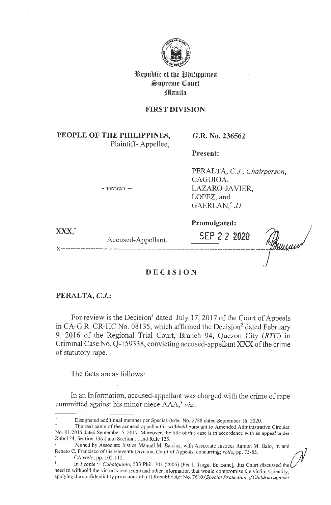

**3Republic of tbe tlbilippine%**   $\mathfrak{S}$ upreme Court **f**llanila

# **FIRST DIVISION**

**PEOPLE OF THE PHILIPPINES,**  Plaintiff- Appellee,

- *versus* -

**G.R. No. 236562** 

**Present:** 

PERALTA, C.J., Chairperson, CAGUIOA, LAZARO-JAVIER, LOPEZ, and GAERLAN,\* *JJ.* 

**xxx,\*** 

Accused-Appellant.

**SEP 2 2 2020** 

**Promulgated:** 

**DEC I SION** 

**x ----------------------------------------------------------------------------------**

# **PERALTA, C.J.:**

For review is the Decision<sup>1</sup> dated July 17, 2017 of the Court of Appeals in CA-G.R. CR-HC No. 08135, which affirmed the Decision<sup>2</sup> dated February 9, 2016 of the Regional Trial Court, Branch 94, Quezon City (RTC) in Criminal Case No. Q-159338, convicting accused-appellant XXX of the crime of statutory rape.

The facts are as follows:

In an Information, accused-appellant was charged with the crime of rape committed against his minor niece AAA,<sup>3</sup> viz.:

Designated additional member per Special Order No. 2788 dated September 16, 2020.

The real name of the accused-appellant is withheld pursuant to Amended Administrative Circular No. 83-2015 dated September 5, 2017. Moreover, the title of this case is in accordance with an appeal under Rule 124, Section 13(c) and Section I; and Rule 125.

<sup>&</sup>lt;sup>1</sup> Penned by Associate Justice Manuel M. Barrios, with Associate Justices Ramon M. Bato, Jr. and Rule 124, Section 13(c) and Section 1; and Rule 125.<br>
Penned by Associate Justice Manuel M. Barrios, with Associate Justices Ramon M. Bato, Jr. and<br>
Renato C. Francisco of the Eleventh Division, Court of Appeals, concurri

need to withhold the victim's real name and other information that would compromise the victim's identity, apply ing the confidentiality provisions of: (I) Republic Act No. 7610 *(Special Protection of Children against*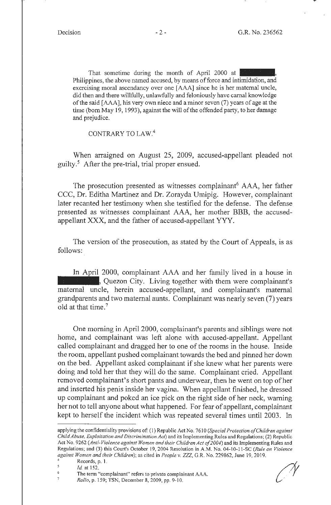That sometime during the month of April 2000 at Philippines, the above named accused, by means of force and intimidation, and exercising moral ascendancy over one [AAA] since he is her maternal uncle, did then and there willfully, unlawfully and feloniously have carnal knowledge of the said [AAA], his very own niece and a minor seven (7) years of age at the time (born May 19, 1993), against the will of the offended party, to her damage and prejudice.

CONTRARY TO LAW.<sup>4</sup>

When arraigned on August 25, 2009, accused-appellant pleaded not guilty.5 After the pre-trial, trial proper ensued.

The prosecution presented as witnesses complainant<sup>6</sup> AAA, her father CCC, Dr. Editha Martinez and Dr. Zorayda Umipig. However, complainant later recanted her testimony when she testified for the defense. The defense presented as witnesses complainant AAA, her mother BBB, the accusedappellant **XXX,** and the father of accused-appellant YYY.

The version of the prosecution, as stated by the Court of Appeals, is as follows:

In April 2000, complainant AAA and her family lived in a house in **Example 2.1**, Quezon City. Living together with them were complainant's maternal uncle, herein accused-appellant, and complainant's maternal grandparents and two maternal aunts. Complainant was nearly seven (7) years old at that time. 7

One morning in April 2000, complainant's parents and siblings were not home, and complainant was left alone with accused-appellant. Appellant called complainant and dragged her to one of the rooms in the house. Inside the room, appellant pushed complainant towards the bed and pinned her down on the bed. Appellant asked complainant if she knew what her parents were doing and told her that they will do the same. Complainant cried. Appellant removed complainant's short pants and underwear, then he went on top of her and inserted his penis inside her vagina. When appellant finished, he dressed up complainant and poked an ice pick on the right side of her neck, warning her not to tell anyone about what happened. For fear of appellant, complainant kept to herself the incident which was repeated several times until 2003. In



applying the confidentiality provisions of: (I) Republic Act No. 7610 *(Special Protection of Children against Child Abuse, Exploitation and Discrimination Act)* and its Implementing Rules and Regulations; (2) Republic Act No. 9262 (Anti-Violence against Women and their Children Act of 2004) and its Implementing Rules and Regulations; and (3) this Court's October 19, 2004 Resolution in A.M. No. 04-10-11-SC *(Rule on Violence against Women and their Children*); as cited in *People v. ZZZ*, G.R. No. 229862, June 19, 2019.<br><sup>4</sup> Records, p. 1.<br><sup>5</sup> *M* at 152

*Id.* at 152.

<sup>6</sup> The term "complainant" refers to private complainant AAA. *Rollo,* p. 159; TSN, December 8, 2009, pp. 9-10.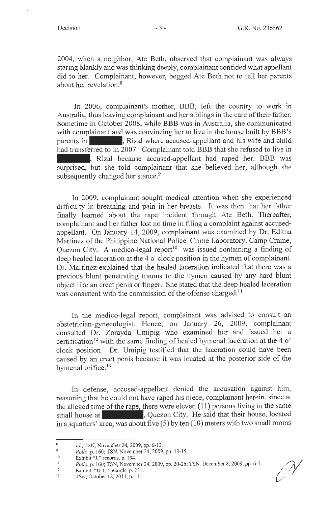2004, when a neighbor, Ate Beth, observed that complainant was always staring blankly and was thinking deeply, complainant confided what appellant did to her. Complainant, however, begged Ate Beth not to tell her parents about her revelation.<sup>8</sup>

In 2006, complainant's mother, **BBB,** left the country to work in Australia, thus leaving complainant and her siblings in the care of their father.<br>
Sometime in October 2008, while BBB was in Australia, she communicated<br>
with complainant and was convincing her to live in the house built Sometime in October 2008, while BBB was in Australia, she communicated with complainant and was convincing her to live in the house built by BBB's had transferred to in 2007. Complainant told BBB that she refused to live in with complainant and was convincing her to live in the house built by BBB's<br>parents in , Rizal where accused-appellant and his wife and child<br>had transferred to in 2007. Complainant told BBB that she refused to live in<br>, R surprised, but she told complainant that she believed her, although she subsequently changed her stance.<sup>9</sup>

In 2009, complainant sought medical attention when she experienced difficulty in breathing and pain in her breasts. It was then that her father finally learned about the rape incident through Ate Beth. Thereafter, complainant and her father lost no time in filing a complaint against accusedappellant. On January 14, 2009, complainant was examined by Dr. Editha Martinez of the Philippine National Police Crime Laboratory, Camp Crame, Quezon City. A medico-legal report<sup>10</sup> was issued containing a finding of deep healed laceration at the 4 o' clock position in the hymen of complainant. Dr. Martinez explained that the healed laceration indicated that there was a previous blunt penetrating trauma to the hymen caused by any hard blunt object like an erect penis or finger. She stated that the deep healed laceration was consistent with the commission of the offense charged.<sup>11</sup>

In the medico-legal report, complainant was advised to consult an obstetrician-gynecologist. Hence, on January 26, 2009, complainant consulted Dr. Zorayda Umipig who examined her and issued her a certification<sup>12</sup> with the same finding of healed hymenal laceration at the 4  $\circ$ ' clock position. Dr. Umipig testified that the laceration could have been caused by an erect penis because it was located at the posterior side of the hymenal orifice.<sup>13</sup>

In defense, accused-appellant denied the accusation against him, reasoning that he could not have raped his niece, complainant herein, since at the alleged time of the rape, there were eleven (11) persons living in the same small house at  $\frac{1}{2}$ , Quezon City. He said that their hous the alleged time of the rape, there were eleven  $(11)$  persons living in the same small house at  $\blacksquare$ , Quezon City. He said that their house, located in a squatters' area, was about five  $(5)$  by ten  $(10)$  meters with two small rooms

 $\bf 8$ Id.; TSN, November 24, 2009, pp. 6-13.

<sup>9</sup>  *Rollo,* p. 160; TSN, November 24, 2009, pp. 13-15.

IO Exhibit "J," records, p. 194.

<sup>11</sup>  *Rollo,* p. 160; TSN, November 24, 2009, pp. 20-26; TSN, December 8, 2009, pp. 6-7.

<sup>12</sup>  Exhibit "D-1," records, p. 231.

<sup>13</sup>  TSN, October 18, 20 11 , p. I I.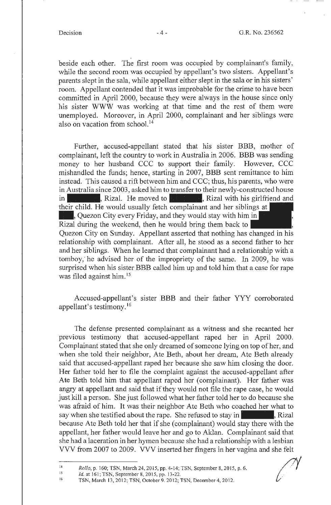beside each other. The first room was occupied by complainant's family, while the second room was occupied by appellant's two sisters. Appellant's parents slept in the sala, while appellant either slept in the sala or in his sisters' room. Appellant contended that it was improbable for the crime to have been committed in April 2000, because they were always in the house since only his sister **WWW** was working at that time and the rest of them were unemployed. Moreover, in April 2000, complainant and her siblings were also on vacation from school. <sup>14</sup>

Further, accused-appellant stated that his sister BBB, mother of complainant, left the country to work in Australia in 2006. BBB was sending money to her husband CCC to support their family. However, CCC mishandled the funds; hence, starting in 2007, BBB sent remittance to him instead. This caused a rift between him and CCC; thus, his parents, who were in Australia since 2003, asked him to transfer to their newly-constructed house mishandled the funds; hence, starting in 2007, BBB sent remittance to him<br>instead. This caused a rift between him and CCC; thus, his parents, who were<br>in Australia since 2003, asked him to transfer to their newly-construct their child. He would usually fetch complainant and her siblings at . Rizal. He moved to ... Rizal with his gire their child. He would usually fetch complainant and her siblings ... Quezon City every Friday, and they would stay with him in Rizal during the weekend, then he would bring them Rizal during the weekend, then he would bring them back to

Quezon City on Sunday. Appellant asserted that nothing has changed in his relationship with complainant. After all, he stood as a second father to her and her siblings. When he learned that complainant had a relationship with a tomboy, he advised her of the impropriety of the same. In 2009, he was surprised when his sister BBB called him up and told him that a case for rape was filed against him. <sup>15</sup>

Accused-appellant's sister **BBB** and their father YYY corroborated appellant's testimony. <sup>16</sup>

The defense presented complainant as a witness and she recanted her previous testimony that accused-appellant raped her in April 2000. Complainant stated that she only dreamed of someone lying on top of her, and when she told their neighbor, Ate Beth, about her dream, Ate Beth already said that accused-appellant raped her because she saw him closing the door. Her father told her to file the complaint against the accused-appellant after Ate Beth told him that appellant raped her (complainant). Her father was angry at appellant and said that if they would not file the rape case, he would just kill a person. She just followed what her father told her to do because she was afraid of him. It was their neighbor Ate Beth who coached her what to She was afraid of him. It was their neighbor Ate Beth who coached her what to say when she testified about the rape. She refused to stay in the Rizal because Ate Beth told her that if she (complainant) would stay there with the appellant, her father would leave her and go to Aldan. Complainant said that she had a laceration in her hymen because she had a relationship with a lesbian VVV from 2007 to 2009. VVV inserted her fingers in her vagina and she felt

15 16 *Id.* at 161; TSN, September 8, 2015, pp. 13-22.

<sup>14</sup>  *Rollo,* p. 160; TSN, March 24, 2015, pp. 4-14; TSN, September 8, 20 15, p. 6.

TSN, March 13, 2012; TSN, October 9. 2012; TSN, December 4, 2012.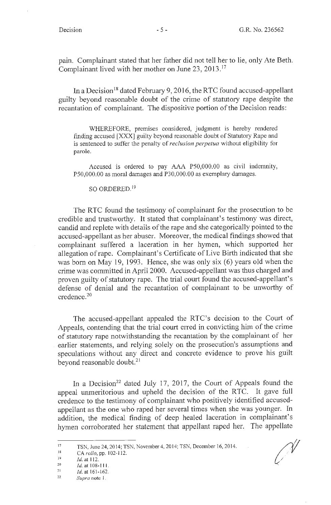pain. Complainant stated that her father did not tell her to lie, only Ate Beth. Complainant lived with her mother on June 23, 2013. <sup>17</sup>

In a Decision<sup>18</sup> dated February 9, 2016, the RTC found accused-appellant guilty beyond reasonable doubt of the crime of statutory rape despite the recantation of complainant. The dispositive portion of the Decision reads:

WHEREFORE, premises considered, judgment is hereby rendered finding accused [XXX] guilty beyond reasonable doubt of Statutory Rape and is sentenced to suffer the penalty of *reclusion perpetua* without eligibility for parole.

Accused is ordered to pay AAA PS0,000.00 as civil indemnity, PS0,000.00 as moral damages and P30,000.00 as exemplary damages.

# SO ORDERED. 19

The RTC found the testimony of complainant for the prosecution to be credible and trustworthy. It stated that complainant's testimony was direct, candid and replete with details of the rape and she categorically pointed to the accused-appellant as her abuser. Moreover, the medical findings showed that complainant suffered a laceration in her hymen, which supported her allegation of rape. Complainant's Certificate of Live Birth indicated that she was born on May 19, 1993. Hence, she was only six  $(6)$  years old when the crime was committed in April 2000. Accused-appellant was thus charged and proven guilty of statutory rape. The trial court found the accused-appellant's defense of denial and the recantation of complainant to be unworthy of credence. 20

The accused-appellant appealed the RTC's decision to the Court of Appeals, contending that the trial court erred in convicting him of the crime of statutory rape notwithstanding the recantation by the complainant of her earlier statements, and relying solely on the prosecution's assumptions and speculations without any direct and concrete evidence to prove his guilt beyond reasonable doubt.<sup>21</sup>

In a Decision<sup>22</sup> dated July 17, 2017, the Court of Appeals found the appeal unmeritorious and upheld the decision of the RTC. It gave full credence to the testimony of complainant who positively identified accusedappellant as the one who raped her several times when she was younger. In addition, the medical finding of deep healed laceration in complainant's hymen corroborated her statement that appellant raped her. The appellate

Ŋ

<sup>17</sup>  TSN, June 24, 20 14; TSN, November 4, 20 14; TSN, December 16, 20 14.

<sup>18</sup>  CA  $rollo$ , pp. 102-112.

<sup>19</sup>  Id. at 112.

<sup>20</sup>  ld.at108-1 11.

<sup>21</sup>  Id. at 161-162.

<sup>22</sup>  *Supra* note I .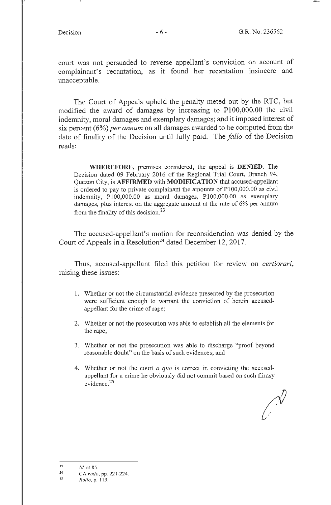court was not persuaded to reverse appellant's conviction on account of complainant's recantation, as it found her recantation insincere and unacceptable.

The Court of Appeals upheld the penalty meted out by the RTC, but modified the award of damages by increasing to  $\text{\textsterling}100,000.00$  the civil indemnity, moral damages and exemplary damages; and it imposed interest of six percent ( 6%) *per annum* on all damages awarded to be computed from the date of finality of the Decision until fully paid. The *fa/lo* of the Decision reads:

**WHEREFORE,** premises considered, the appeal is **DENIED.** The Decision dated 09 February 2016 of the Regional Trial Court, Branch 94, Quezon City, is **AFFIRMED** with **MODIFICATION** that accused-appellant is ordered to pay to private complainant the amounts of PI00,000.00 as civil indemnity, Pl00,000.00 as moral damages, Pl00,000.00 as exemplary damages, plus interest on the aggregate amount at the rate of 6% per annum from the finality of this decision.<sup>23</sup>

The accused-appellant's motion for reconsideration was denied by the Court of Appeals in a Resolution<sup>24</sup> dated December 12, 2017.

Thus, accused-appellant filed this petition for review on *certiorari,*  raising these issues:

- I. Whether or not the circumstantial evidence presented by the prosecution were sufficient enough to warrant the conviction of herein accusedappellant for the crime of rape;
- 2. Whether or not the prosecution was able to establish all the elements for the rape;
- 3. Whether or not the prosecution was able to discharge "proof beyond reasonable doubt" on the basis of such evidences; and
- 4. Whether or not the court *a quo* is correct in convicting the accusedappellant for a crime he obviously did not commit based on such flimsy evidence. 25

<sup>23</sup>  *Id.* at 85.

<sup>24</sup>  CA *rollo,* pp. 221-224.

<sup>25</sup>  *Rollo,* p. 113.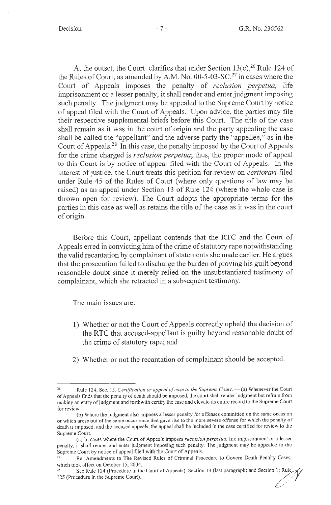At the outset, the Court clarifies that under Section  $13(c)$ , <sup>26</sup> Rule 124 of the Rules of Court, as amended by A.M. No.  $00-5-03-SC$ <sup>27</sup> in cases where the Court of Appeals imposes the penalty of *reclusion perpetua,* life imprisonment or a lesser penalty, it shall render and enter judgment imposing such penalty. The judgment may be appealed to the Supreme Court by notice of appeal filed with the Court of Appeals. Upon advice, the parties may file their respective supplemental briefs before this Court. The title of the case shall remain as it was in the court of origin and the party appealing the case shall be called the "appellant" and the adverse party the "appellee," as in the Court of Appeals.<sup>28</sup> In this case, the penalty imposed by the Court of Appeals for the crime charged is *reclusion perpetua;* thus, the proper mode of appeal to this Court is by notice of appeal filed with the Court of Appeals. In the interest of justice, the Court treats this petition for review on *certiorari* filed under Rule 45 of the Rules of Court (where only questions of law may be raised) as an appeal under Section 13 of Rule 124 ( where the whole case is thrown open for review). The Court adopts the appropriate terms for the parties in this case as well as retains the title of the case as it was in the court of origin.

Before this Court, appellant contends that the RTC and the Court of Appeals erred in convicting him of the crime of statutory rape notwithstanding the valid recantation by complainant of statements she made earlier. He argues that the prosecution failed to discharge the burden of proving his guilt beyond reasonable doubt since it merely relied on the unsubstantiated testimony of complainant, which she retracted in a subsequent testimony.

The main issues are:

- 1) Whether or not the Court of Appeals correctly upheld the decision of the RTC that accused-appellant is guilty beyond reasonable doubt of the crime of statutory rape; and
- 2) Whether or not the recantation of complainant should be accepted.

Rule 124, Sec. 13. *Certification or appeal of case to the Supreme Court*. -- (a) Whenever the Court of Appeals finds that the penalty of death should be imposed, the court shall render judgment but refrain from making an entry of judgment and forthwith certify the case and elevate its entire record to the Supreme Court for review.

<sup>(</sup>b) Where the judgment also imposes a lesser penalty for offenses committed on the same occasion or which arose out of the same occurrence that gave rise to the more severe offense for which the penalty of death is imposed, and the accused appeals, the appeal shall be included in the case certified for review to the Supreme Court.

<sup>(</sup>c) In cases where the Court of Appeals imposes *reclusion perpetua,* life imprisonment or a lesser penalty, it shall render and enter judgment imposing such penalty. The judgment may be appealed to the Supreme Court by notice of appeal filed with the Court of Appeals.<br><sup>27</sup> Re: Amendments to The Revised Rules of Criminal Procedure to Govern Death Penalty Cases,

which took effect on October 15, 2004.<br><sup>28</sup> See Rule 124 (Procedure in the Court of Appeals), Section 13 (last paragraph) and Section 1; Rule

<sup>&</sup>lt;sup>28</sup> See Rule 124 (Procedure in the Court of Appeals), Section 13 (last paragraph) and Section 1; Rule 315 (Procedure in the Supreme Court).  $\mathscr{O}'$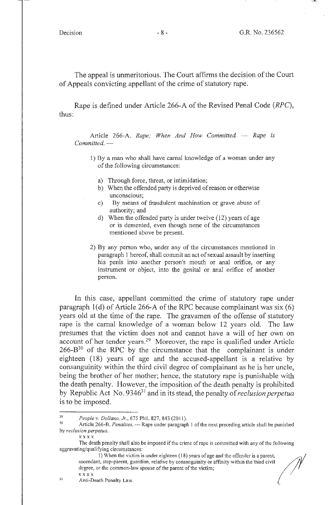The appeal is unmeritorious. The Court affirms the decision of the Court of Appeals convicting appellant of the crime of statutory rape.

Rape is defined under Article 266-A of the Revised Penal Code (RPC), thus:

Article 266-A. *Rape; When And How Committed.* - *Rape is*  $Committed.$  —

- 1) By a man who shall have carnal knowledge of a woman under any of the following circumstances:
	- a) Through force, threat, or intimidation;
	- b) When the offended party is deprived of reason or otherwise unconscious;
	- c) By means of fraudulent machination or grave abuse of authority; and
	- d) When the offended party is under twelve (12) years of age or is demented, even though none of the circumstances mentioned above be present.
- 2) By any person who, under any of the circumstances mentioned in paragraph 1 hereof, shall commit an act of sexual assault by inserting his penis into another person's mouth or anal orifice, or any instrument or object, into the genital or anal orifice of another person.

In this case, appellant committed the crime of statutory rape under paragraph l(d) of Article 266-A of the RPC because complainant was six (6) years old at the time of the rape. The gravamen of the offense of statutory rape is the carnal knowledge of a woman below 12 years old. The law presumes that the victim does not and cannot have a will of her own on account of her tender years.<sup>29</sup> Moreover, the rape is qualified under Article  $266-B^{30}$  of the RPC by the circumstance that the complainant is under eighteen ( 18) years of age and the accused-appellant is a relative by consanguinity within the third civil degree of complainant as he is her uncle, being the brother of her mother; hence, the statutory rape is punishable with the death penalty. However, the imposition of the death penalty is prohibited by Republic Act No. 934631 and in its stead, the penalty of *reclusion perpetua*  is to be imposed.

x xx x

<sup>29</sup>*People v. Dollano, Jr.,* 675 Phil. 827,843 (2011). 30 Article 266-8. *Penalties.* - Rape under paragraph I of the next preceding article shall be punished by *reclusion perpetua.* 

The death penalty shall also be imposed if the crime of rape is committed with any of the following<br>ing/qualifying circumstances:<br>1) When the victim is under eighteen (18) years of age and the offender is a parent,<br>ascend aggravating/qualifying circumstances:

degree, or the common-law spouse of the parent of the victim;  $\overline{x}$ xxx $\overline{x}$  . The extension of  $\overline{y}$  . The extra  $\overline{y}$  . The extra  $\overline{y}$  . The extra  $\overline{y}$  is the extra  $\overline{y}$  of  $\overline{y}$  . The extra  $\overline{y}$  is the extra  $\overline{y}$  of  $\overline{y}$  . The extra  $\overline{y}$  is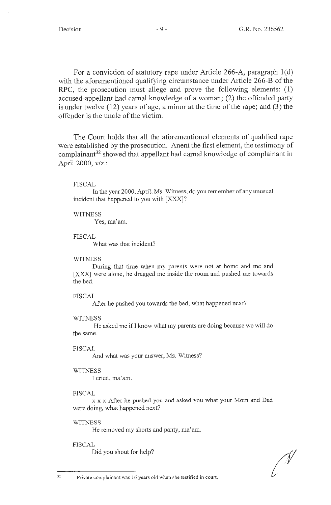For a conviction of statutory rape under Article 266-A, paragraph l(d) with the aforementioned qualifying circumstance under Article 266-B of the RPC, the prosecution must allege and prove the following elements: (1) accused-appellant had carnal knowledge of a woman; (2) the offended party is under twelve (12) years of age, a minor at the time of the rape; and (3) the offender is the uncle of the victim.

The Court holds that all the aforementioned elements of qualified rape were established by the prosecution. Anent the first element, the testimony of complainant<sup>32</sup> showed that appellant had carnal knowledge of complainant in April 2000, *viz.:* 

# FISCAL

In the year 2000, April, Ms. Witness, do you remember of any unusual incident that happened to you with [XXX]?

## **WITNESS**

Yes, ma'am.

# FISCAL

What was that incident?

### **WITNESS**

During that time when my parents were not at home and me and [XXX] were alone, he dragged me inside the room and pushed me towards the bed.

## FISCAL

After he pushed you towards the bed, what happened next?

### WITNESS

He asked me if I know what my parents are doing because we will do the same.

### FISCAL

And what was your answer, Ms. Witness?

# **WITNESS**

I cried, ma'am.

# FISCAL

x x x After he pushed you and asked you what your Mom and Dad were doing, what happened next?

## **WITNESS**

He removed my shorts and panty, ma'am.

### FISCAL

Did you shout for help?

32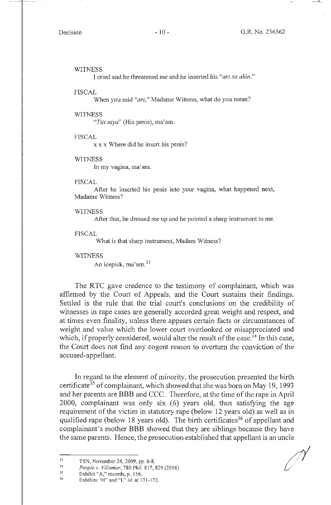#### **WITNESS**

I cried and he threatened me and he inserted his *"ari sa akin."* 

#### FISCAL

When you said *"ari,"* Madame Witness, what do you mean?

#### WITNESS

*"Titi niya"* (His penis), ma'am.

#### FISCAL

x x x Where did he insert his penis?

#### WITNESS

In my vagina, ma'am.

#### FISCAL

After he inserted his penis into your vagina, what happened next, Madame Witness?

## **WITNESS**

After that, he dressed me up and he pointed a sharp instrument to me.

### FISCAL

What is that sharp instrument, Madam Witness?

#### WITNESS

An icepick, ma'am.<sup>33</sup>

The RTC gave credence to the testimony of complainant, which was affirmed by the Court of Appeals, and the Court sustains their findings. Settled is the rule that the trial court's conclusions on the credibility of witnesses in rape cases are generally accorded great weight and respect, and at times even finality, unless there appears certain facts or circumstances of weight and value which the lower court overlooked or misappreciated and which, if properly considered, would alter the result of the case.<sup>34</sup> In this case, the Court does not find any cogent reason to overturn the conviction of the accused-appellant.

In regard to the element of minority, the prosecution presented the birth certificate<sup>35</sup> of complainant, which showed that she was born on May 19, 1993 and her parents are BBB and CCC. Therefore, at the time of the rape in April 2000, complainant was only six (6) years old, thus satisfying the age requirement of the victim in statutory rape (below 12 years old) as well as in qualified rape (below 18 years old). The birth certificates<sup>36</sup> of appellant and complainant's mother BBB showed that they are siblings because they have the same parents. Hence, the prosecution established that appellant is an uncle

<sup>33</sup>  TSN, November 24, 2009, pp. 6-8.

<sup>34</sup>  *People v. Villamar,* 780 Phil. 817, 829 (2016).

<sup>35</sup>  Exhibit "A," records, p. 156.

<sup>36</sup>  Exhibits "H" and "I," *id.* at 171-172.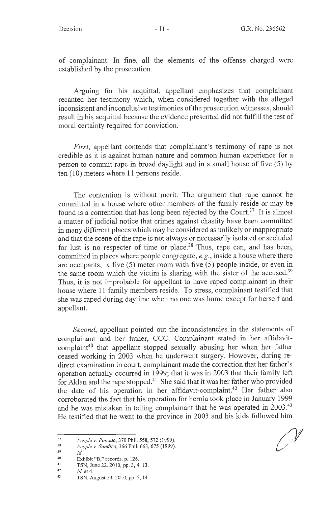of complainant. In fine, all the elements of the offense charged were established by the prosecution.

Arguing for his acquittal, appellant emphasizes that complainant recanted her testimony which, when considered together with the alleged inconsistent and inconclusive testimonies of the prosecution witnesses, should result in his acquittal because the evidence presented did not fulfill the test of moral certainty required for conviction.

*First*, appellant contends that complainant's testimony of rape is not credible as it is against human nature and common human experience for a person to commit rape in broad daylight and in a small house of five (5) by ten (10) meters where 11 persons reside.

The contention is without merit. The argument that rape cannot be committed in a house where other members of the family reside or may be found is a contention that has long been rejected by the Court.<sup>37</sup> It is almost a matter of judicial notice that crimes against chastity have been committed in many different places which may be considered as unlikely or inappropriate and that the scene of the rape is not always or necessarily isolated or secluded for lust is no respecter of time or place.<sup>38</sup> Thus, rape can, and has been, committed in places where people congregate, *e.g.,* inside a house where there are occupants, a five (5) meter room with five (5) people inside, or even in the same room which the victim is sharing with the sister of the accused.39 Thus, it is not improbable for appellant to have raped complainant in their house where 11 family members reside. To stress, complainant testified that she was raped during daytime when no one was home except for herself and appellant.

*Second,* appellant pointed out the inconsistencies in the statements of complainant and her father, CCC. Complainant stated in her affidavitcomplaint<sup>40</sup> that appellant stopped sexually abusing her when her father ceased working in 2003 when he underwent surgery. However, during redirect examination in court, complainant made the correction that her father's operation actually occurred in 1999; that it was in 2003 that their family left for Aklan and the rape stopped.<sup>41</sup> She said that it was her father who provided the date of his operation in her affidavit-complaint.<sup>42</sup> Her father also corroborated the fact that his operation for hernia took place in January 1999 and he was mistaken in telling complainant that he was operated in  $2003<sup>43</sup>$ He testified that he went to the province in 2003 and his kids followed him

<sup>37</sup>  *People v. Ponado,* 370 Phil. 558,572 (1999).

<sup>38</sup>  *People v. Sandico,* 366 Phil. 663, 675 ( 1999).

<sup>39</sup>  *Id.* 

<sup>40</sup>  41 Exhibit "B," records, p. 126.

TSN, June 22, 2010, pp. 3, 4, 13.

<sup>42</sup>  *Id.* at 4.

<sup>43</sup>  TSN, August 24, 2010, pp. 5, 14.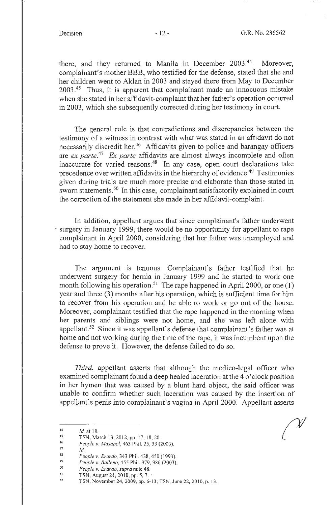there, and they returned to Manila in December 2003.<sup>44</sup> Moreover, complainant's mother BBB, who testified for the defense, stated that she and her children went to Aklan in 2003 and stayed there from May to December  $2003<sup>45</sup>$  Thus, it is apparent that complainant made an innocuous mistake when she stated in her affidavit-complaint that her father's operation occurred in 2003, which she subsequently corrected during her testimony in court.

The general rule is that contradictions and discrepancies between the testimony of a witness in contrast with what was stated in an affidavit do not necessarily discredit her.<sup>46</sup> Affidavits given to police and barangay officers are *ex parte.47 Ex parte* affidavits are almost always incomplete and often inaccurate for varied reasons.48 In any case, open court declarations take precedence over written affidavits in the hierarchy of evidence.49 Testimonies given during trials are much more precise and elaborate than those stated in sworn statements.<sup>50</sup> In this case, complainant satisfactorily explained in court the correction of the statement she made in her affidavit-complaint.

In addition, appellant argues that since complainant's father underwent surgery in January 1999, there would be no opportunity for appellant to rape complainant in April 2000, considering that her father was unemployed and had to stay home to recover.

The argument is tenuous. Complainant's father testified that he underwent surgery for hernia in January 1999 and he started to work one month following his operation.<sup>51</sup> The rape happened in April 2000, or one (1) year and three (3) months after his operation, which is sufficient time for him to recover from his operation and be able to work or go out of the house. Moreover, complainant testified that the rape happened in the morning when her parents and siblings were not home, and she was left alone with appellant.<sup>52</sup> Since it was appellant's defense that complainant's father was at home and not working during the time of the rape, it was incumbent upon the defense to prove it. However, the defense failed to do so.

*Third,* appellant asserts that although the medico-legal officer who examined complainant found a deep healed laceration at the 4 o'clock position in her hymen that was caused by a blunt hard object, the said officer was unable to confirm whether such laceration was caused by the insertion of appellant's penis into complainant's vagina in April 2000. Appellant asserts

47 *Id..* 

<sup>44</sup>  *Id.* at 18.

<sup>45</sup>  46 TSN, March 13, 2012, pp. 17, 18, 20.

*People v. Masapol,* 463 Phil. 25, 33 (2003).

<sup>48</sup>  49 *People v. Erardo,* 343 Phil. 438, 450 ( 1993).

*People v. Ballena,* 455 Phil. 979, 986 (2003).

<sup>50</sup>  *People v. Erardo, supra* note 48.

<sup>51</sup>  TSN, August 24, 2010, pp. 5, 7. ·

<sup>52</sup>  TSN, November 24, 2009, pp. 6-13; TSN, June 22, 2010, p. 13.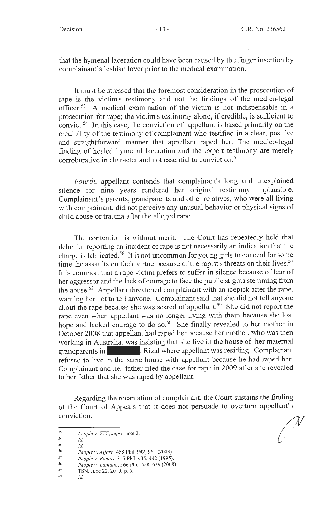that the hymenal laceration could have been caused by the finger insertion by complainant's lesbian lover prior to the medical examination.

It must be stressed that the foremost consideration in the prosecution of rape is the victim's testimony and not the findings of the medico-legal officer.53 A medical examination of the victim is not indispensable in a prosecution for rape; the victim's testimony alone, if credible, is sufficient to convict.54 In this case, the conviction of appellant is based primarily on the credibility of the testimony of complainant who testified in a clear, positive and straightforward manner that appellant raped her. The medico-legal finding of healed hymenal laceration and the expert testimony are merely corroborative in character and not essential to conviction.<sup>55</sup>

*Fourth,* appellant contends that complainant's long and unexplained silence for nine years rendered her original testimony implausible. Complainant's parents, grandparents and other relatives, who were all living with complainant, did not perceive any unusual behavior or physical signs of child abuse or trauma after the alleged rape.

The contention is without merit. The Court has repeatedly held that delay in reporting an incident of rape is not necessarily an indication that the charge is fabricated. 56 It is not uncommon for young girls to conceal for some time the assaults on their virtue because of the rapist's threats on their lives.<sup>57</sup> It is common that a rape victim prefers to suffer in silence because of fear of her aggressor and the lack of courage to face the public stigma stemming from the abuse. 58 Appellant threatened complainant with an icepick after the rape, warning her not to tell anyone. Complainant said that she did not tell anyone about the rape because she was scared of appellant.<sup>59</sup> She did not report the rape even when appellant was no longer living with them because she lost hope and lacked courage to do so.<sup>60</sup> She finally revealed to her mother in October 2008 that appellant had raped her because her mother, who was then working in Australia, was insisting that she live in the house of her maternal October 2008 that appellant had raped her because her mother, who was then<br>working in Australia, was insisting that she live in the house of her maternal<br>grandparents in , Rizal where appellant was residing. Complainant<br>re refused to live in the same house with appellant because he had raped her. Complainant and her father filed the case for rape in 2009 after she revealed to her father that she was raped by appellant.

Regarding the recantation of complainant, the Court sustains the finding of the Court of Appeals that it does not persuade to overturn appellant's conviction.

*Id.* 

*55* 

- 60 TSN, June 22, 2010, p. 5. *Id*
- 

<sup>53</sup>  *People v. ZZZ, supra* note 2.

<sup>54</sup>  *Id.* 

<sup>56</sup>  57 *People v. A/faro,* 458 Phil. 942, 961 (2003).

<sup>58</sup>  *People v. Ramos,* 3 15 Phil. 435, 442 (1995).

<sup>59</sup>  *People v. Lantana,* 566 Phil. 628, 639 (2008).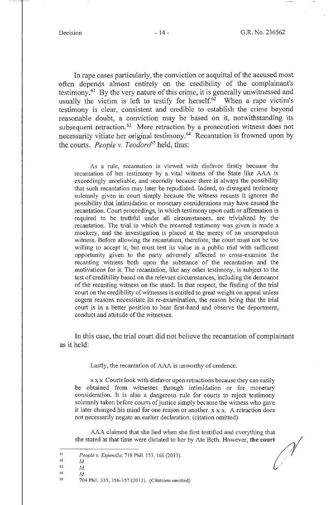*I* 

In rape cases particularly, the conviction or acquittal of the accused most often depends almost entirely on the credibility of the complainant's testimony. 61 By the very nature of this crime, it is generally unwitnessed and usually the victim is left to testify for herself.<sup>62</sup> When a rape victim's testimony is clear, consistent and credible to establish the crime beyond reasonable doubt, a conviction may be based on it, notwithstanding its subsequent retraction.<sup>63</sup> Mere retraction by a prosecution witness does not necessarily vitiate her original testimony. 64 Recantation is frowned upon by the courts. *People v. Teodoro<sup>65</sup>*held, thus:

As a rule, recantation is viewed with disfavor firstly because the recantation of her testimony by a vital witness of the State like AAA is exceedingly unreliable, and secondly because there is always the possibility that such recantation may later be repudiated. Indeed, to disregard testimony solemnly given in court simply because the witness recants it ignores the possibility that intimidation or monetary considerations may have caused the recantation. Court proceedings, in which testimony upon oath or affirmation is required to be truthful under all circumstances, are trivialized by the recantation. The trial in which the recanted testimony was given is made a mockery, and the investigation is placed at the mercy of an unscrupulous witness. Before allowing the recantation, therefore, the court must not be too willing to accept it, but must test its value in a public trial with sufficient opportunity given to the party adversely affected to cross-examine the recanting witness both upon the substance of the recantation and the motivations for it. The recantation, like any other testimony, is subject to the test of credibility based on the relevant circumstances, including the demeanor of the recanting witness on the stand. In that respect, the finding of the trial court on the credibility of witnesses is entitled to great weight on appeal unless cogent reasons necessitate its re-examination, the reason being that the trial court is in a better position to hear first-hand and observe the deportment, conduct and attitude of the witnesses.

In this case, the trial court did not believe the recantation of complainant as it held:

Lastly, the recantation of AAA is unworthy of credence.

x x x Courts look with disfavor upon retractions because they can easily be obtained from witnesses through intimidation or for monetary consideration. It is also a dangerous rule for courts to reject testimony solemnly taken before courts of justice simply because the witness who gave soletinity taken before courts of justice simply because the whitess who gave<br>it later changed his mind for one reason or another. x x x. A retraction does<br>not necessarily negate an earlier declaration. (citation omitted)<br> not necessarily negate an earlier declaration. (citation omitted)

AAA claimed that she lied when she first testified and everything that

<sup>61</sup>  62 *People v. Espenilla,* 718 Phil. 153, 166 (2013). .· *u* /

<sup>63</sup> 

<sup>64</sup>  *Id. Id.* 

<sup>65</sup> 

<sup>704</sup> Phil. 335, 356-357 (2013). (Citations omitted)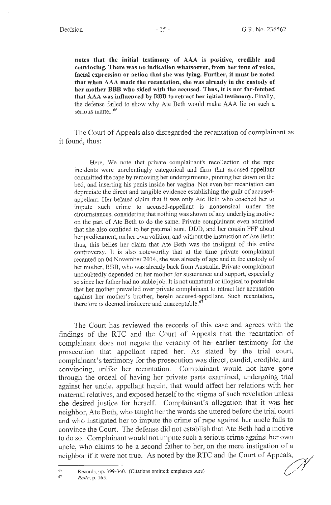**notes that the initial testimony of AAA is positive, credible and convincing. There was no indication whatsoever, from her tone of voice, facial expression or action that she was lying. Further, it must be noted that when AAA made the recantation, she was already in the custody of her mother BBB who sided with the accused. Thus, it is not far-fetched that AAA was influenced by BBB to retract her initial testimony.** Finally, the defense failed to show why Ate Beth would make AAA lie on such a serious matter.<sup>66</sup>

The Court of Appeals also disregarded the recantation of complainant as it found, thus:

Here, We note that private complainant's recollection of the rape incidents were unrelentingly categorical and firm that accused-appellant committed the rape by removing her undergarments, pinning her down on the bed, and inserting his penis inside her vagina. Not even her recantation can depreciate the direct and tangible evidence establishing the guilt of accusedappellant. Her belated claim that it was only Ate Beth who coached her to impute such crime to accused-appellant is nonsensical under the circumstances, considering that nothing was shown of any underlying motive on the part of Ate Beth to do the same. Private complainant even admitted that she also confided to her paternal aunt, DDD, and her cousin FFF about her predicament, on her own volition, and without the instruction of Ate Beth; thus, this belies her claim that Ate Beth was the instigant of this entire controversy. It is also noteworthy that at the time private complainant recanted on 04 November 2014, she was already of age and in the custody of her mother, BBB, who was already back from Australia. Private complainant undoubtedly depended on her mother for sustenance and support, especially so since her father had no stable job. It is not unnatural or illogical to postulate that her mother prevailed over private complainant to retract her accusation against her mother's brother, herein accused-appellant. Such recantation, therefore is deemed insincere and unacceptable.  $67$ 

The Court has reviewed the records of this case and agrees with the findings of the RTC and the Court of Appeals that the recantation of complainant does not negate the veracity of her earlier testimony for the prosecution that appellant raped her. As stated by the trial court, complainant's testimony for the prosecution was direct, candid, credible, and convincing, unlike her recantation. Complainant would not have gone through the ordeal of having her private parts examined, undergoing trial against her uncle, appellant herein, that would affect her relations with her maternal relatives, and exposed herself to the stigma of such revelation unless she desired justice for herself. Complainant's allegation that it was her neighbor, Ate Beth, who taught her the words she uttered before the trial court and who instigated her to impute the crime of rape against her uncle fails to convince the Court. The defense did not establish that Ate Beth had a motive to do so. Complainant would not impute such a serious crime against her own uncle, who claims to be a second father to her, on the mere instigation of a neighbor if it were not true. As noted by the RTC and the Court of Appeals,

<sup>66</sup> Records, pp. 399-340. (Citations omitted; emphases ours)<br><sup>67</sup> *Rollo*, p. 165.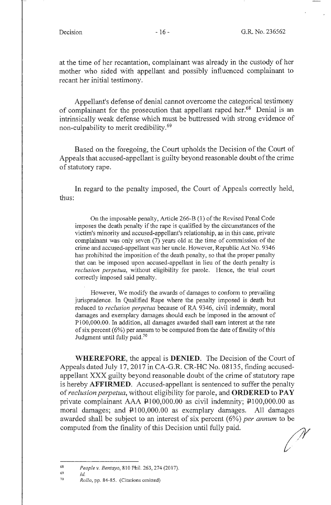at the time of her recantation, complainant was already in the custody of her mother who sided with appellant and possibly influenced complainant to recant her initial testimony.

Appellant's defense of denial cannot overcome the categorical testimony of complainant for the prosecution that appellant raped her.<sup>68</sup> Denial is an intrinsically weak defense which must be buttressed with strong evidence of non-culpability to merit credibility.69

Based on the foregoing, the Court upholds the Decision of the Court of Appeals that accused-appellant is guilty beyond reasonable doubt of the crime of statutory rape.

In regard to the penalty imposed, the Court of Appeals correctly held, thus:

On the imposable penalty, Article 266-B (1) of the Revised Penal Code imposes the death penalty if the rape is qualified by the circumstances of the victim's minority and accused-appellant's relationship, as in this case, private complainant was only seven (7) years old at the time of commission of the crime and accused-appellant was her uncle. However, Republic Act No. 9346 has prohibited the imposition of the death penalty, so that the proper penalty that can be imposed upon accused-appellant in lieu of the death penalty is *reclusion perpetua,* without eligibility for parole. Hence, the trial court correctly imposed said penalty.

However, We modify the awards of damages to conform to prevailing jurisprudence. In Qualified Rape where the penalty imposed is death but reduced to *reclusion perpetua* because of RA 9346, civil indemnity, moral damages and exemplary damages should each be imposed in the amount of Pl00,000.00. In addition, all damages awarded shall earn interest at the rate of six percent  $(6%)$  per annum to be computed from the date of finality of this Judgment until fully paid.<sup>70</sup>

**WHEREFORE,** the appeal is **DENIED.** The Decision of the Court of Appeals dated July 17, 2017 in CA-G.R. CR-HC No. 08135, finding accusedappellant XXX guilty beyond reasonable doubt of the crime of statutory rape is hereby **AFFIRMED.** Accused-appellant is sentenced to suffer the penalty of *reclusion perpetua,* without eligibility for parole, and **ORDERED to PAY**  private complainant AAA P100,000.00 as civil indemnity; P100,000.00 as moral damages; and  $\text{\texttt{P}}100,000.00$  as exemplary damages. All damages awarded shall be subject to an interest of six percent (6%) *per annum* to be computed from the finality of this Decision until fully paid.

*id.* 

<sup>68</sup>  *People v. Bentayo,* 810 Phil. 263, 274(2017).

<sup>69</sup>  70

*Rollo,* pp. 84-85. (Citations omitted)